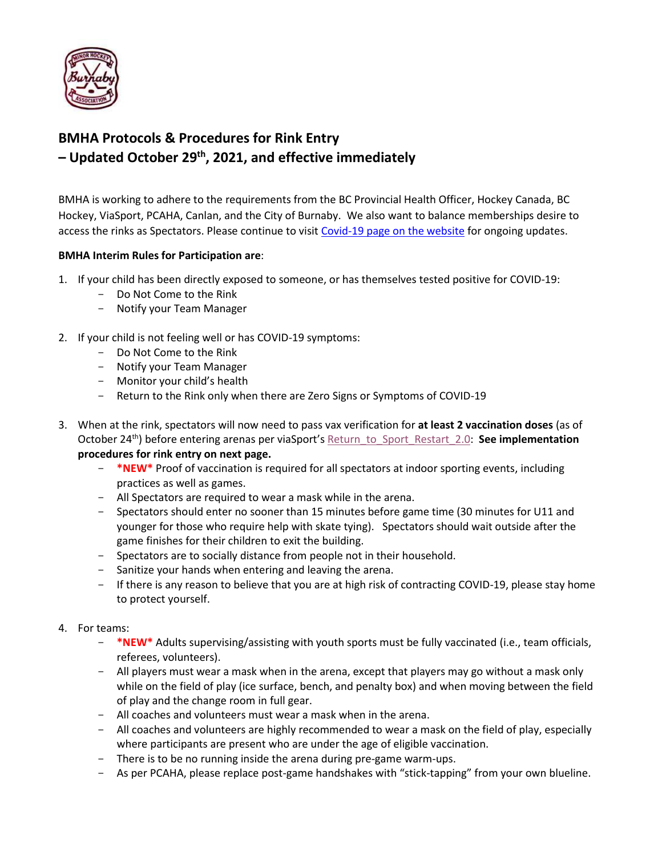

# **BMHA Protocols & Procedures for Rink Entry – Updated October 29 th , 2021, and effective immediately**

BMHA is working to adhere to the requirements from the BC Provincial Health Officer, Hockey Canada, BC Hockey, ViaSport, PCAHA, Canlan, and the City of Burnaby. We also want to balance memberships desire to access the rinks as Spectators. Please continue to visit [Covid-19 page on the website](https://www.burnabyminor.com/covid-19-2021-22-season/) for ongoing updates.

### **BMHA Interim Rules for Participation are**:

- 1. If your child has been directly exposed to someone, or has themselves tested positive for COVID-19:
	- Do Not Come to the Rink
	- Notify your Team Manager
- 2. If your child is not feeling well or has COVID-19 symptoms:
	- Do Not Come to the Rink
	- Notify your Team Manager
	- Monitor your child's health
	- Return to the Rink only when there are Zero Signs or Symptoms of COVID-19
- 3. When at the rink, spectators will now need to pass vax verification for **at least 2 vaccination doses** (as of October 24th) before entering arenas per viaSport's [Return\\_to\\_Sport\\_Restart\\_2.0:](https://www.viasport.ca/return-sport) **See implementation procedures for rink entry on next page.**
	- **\*NEW\*** Proof of vaccination is required for all spectators at indoor sporting events, including practices as well as games.
	- All Spectators are required to wear a mask while in the arena.
	- Spectators should enter no sooner than 15 minutes before game time (30 minutes for U11 and younger for those who require help with skate tying). Spectators should wait outside after the game finishes for their children to exit the building.
	- Spectators are to socially distance from people not in their household.
	- Sanitize your hands when entering and leaving the arena.
	- If there is any reason to believe that you are at high risk of contracting COVID-19, please stay home to protect yourself.
- 4. For teams:
	- **\*NEW\*** Adults supervising/assisting with youth sports must be fully vaccinated (i.e., team officials, referees, volunteers).
	- All players must wear a mask when in the arena, except that players may go without a mask only while on the field of play (ice surface, bench, and penalty box) and when moving between the field of play and the change room in full gear.
	- All coaches and volunteers must wear a mask when in the arena.
	- All coaches and volunteers are highly recommended to wear a mask on the field of play, especially where participants are present who are under the age of eligible vaccination.
	- There is to be no running inside the arena during pre-game warm-ups.
	- As per PCAHA, please replace post-game handshakes with "stick-tapping" from your own blueline.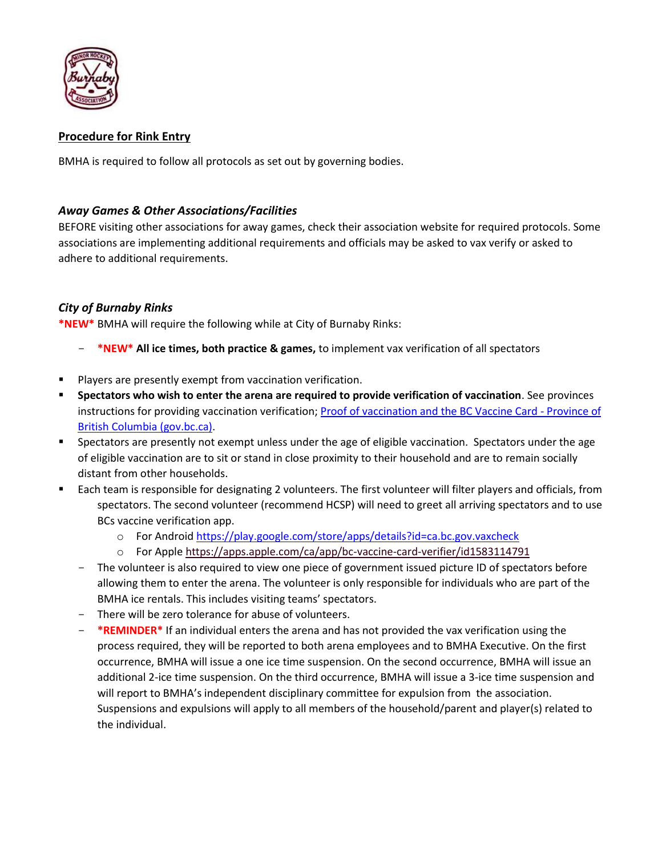

# **Procedure for Rink Entry**

BMHA is required to follow all protocols as set out by governing bodies.

## *Away Games & Other Associations/Facilities*

BEFORE visiting other associations for away games, check their association website for required protocols. Some associations are implementing additional requirements and officials may be asked to vax verify or asked to adhere to additional requirements.

# *City of Burnaby Rinks*

**\*NEW\*** BMHA will require the following while at City of Burnaby Rinks:

- **\*NEW\* All ice times, both practice & games,** to implement vax verification of all spectators
- Players are presently exempt from vaccination verification.
- **Spectators who wish to enter the arena are required to provide verification of vaccination**. See provinces instructions for providing vaccination verification[; Proof of vaccination and the BC Vaccine Card -](https://www2.gov.bc.ca/vaccinecard.html) Province of [British Columbia \(gov.bc.ca\).](https://www2.gov.bc.ca/vaccinecard.html)
- **•** Spectators are presently not exempt unless under the age of eligible vaccination. Spectators under the age of eligible vaccination are to sit or stand in close proximity to their household and are to remain socially distant from other households.
- Each team is responsible for designating 2 volunteers. The first volunteer will filter players and officials, from spectators. The second volunteer (recommend HCSP) will need to greet all arriving spectators and to use BCs vaccine verification app.
	- o For Androi[d https://play.google.com/store/apps/details?id=ca.bc.gov.vaxcheck](https://play.google.com/store/apps/details?id=ca.bc.gov.vaxcheck)
	- o For Appl[e https://apps.apple.com/ca/app/bc-vaccine-card-verifier/id1583114791](https://apps.apple.com/ca/app/bc-vaccine-card-verifier/id1583114791)
	- The volunteer is also required to view one piece of government issued picture ID of spectators before allowing them to enter the arena. The volunteer is only responsible for individuals who are part of the BMHA ice rentals. This includes visiting teams' spectators.
	- There will be zero tolerance for abuse of volunteers.
	- **\*REMINDER\*** If an individual enters the arena and has not provided the vax verification using the process required, they will be reported to both arena employees and to BMHA Executive. On the first occurrence, BMHA will issue a one ice time suspension. On the second occurrence, BMHA will issue an additional 2-ice time suspension. On the third occurrence, BMHA will issue a 3-ice time suspension and will report to BMHA's independent disciplinary committee for expulsion from the association. Suspensions and expulsions will apply to all members of the household/parent and player(s) related to the individual.